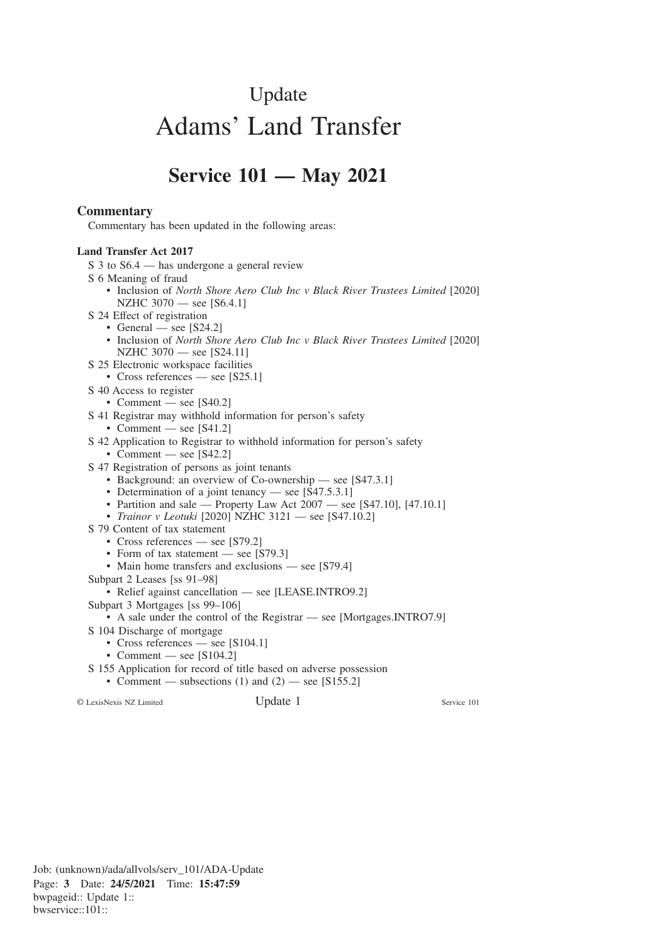# Update Adams' Land Transfer

## **Service 101 — May 2021**

#### **Commentary**

Commentary has been updated in the following areas:

#### **Land Transfer Act 2017**

- S 3 to S6.4 has undergone a general review
- S 6 Meaning of fraud
	- Inclusion of *North Shore Aero Club Inc v Black River Trustees Limited* [2020] NZHC 3070 — see [S6.4.1]
- S 24 Effect of registration
	- General see  $[S24.2]$
	- Inclusion of *North Shore Aero Club Inc v Black River Trustees Limited* [2020] NZHC 3070 — see [S24.11]
- S 25 Electronic workspace facilities
	- Cross references see [S25.1]
- S 40 Access to register
	- Comment see [S40.2]
- S 41 Registrar may withhold information for person's safety
	- Comment see [S41.2]
- S 42 Application to Registrar to withhold information for person's safety • Comment — see [S42.2]
- S 47 Registration of persons as joint tenants
	- Background: an overview of Co-ownership see [S47.3.1]
	- Determination of a joint tenancy see [S47.5.3.1]
	- Partition and sale Property Law Act  $2007$  see [S47.10], [47.10.1]
	- *Trainor v Leotuki* [2020] NZHC 3121 see [S47.10.2]
- S 79 Content of tax statement
	- Cross references see [S79.2]
	- Form of tax statement see [S79.3]
	- Main home transfers and exclusions see [S79.4]
- Subpart 2 Leases [ss 91–98]
	- Relief against cancellation see [LEASE.INTRO9.2]
- Subpart 3 Mortgages [ss 99–106]
	- A sale under the control of the Registrar see [Mortgages.INTRO7.9]
- S 104 Discharge of mortgage
	- Cross references see [S104.1]
	- Comment see  $[S104.2]$
- S 155 Application for record of title based on adverse possession
	- Comment subsections (1) and  $(2)$  see [S155.2]